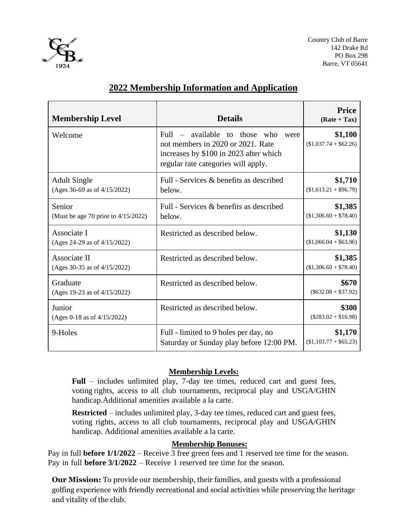

| <b>Membership Level</b>                             | <b>Details</b>                                                                                                                                                     | <b>Price</b><br>$(Rate + Tax)$    |
|-----------------------------------------------------|--------------------------------------------------------------------------------------------------------------------------------------------------------------------|-----------------------------------|
| Welcome                                             | available<br>those who<br>Full<br>to<br>were<br>not members in 2020 or 2021. Rate<br>increases by \$100 in 2023 after which<br>regular rate categories will apply. | \$1,100<br>$($1,037.74 + $62.26)$ |
| <b>Adult Single</b><br>(Ages 36-69 as of 4/15/2022) | Full - Services & benefits as described<br>below.                                                                                                                  | \$1,710<br>$($1,613.21 + $96.79)$ |
| Senior<br>(Must be age 70 prior to $4/15/2022$ )    | Full - Services & benefits as described<br>below.                                                                                                                  | \$1,385<br>$($1,306.60 + $78.40)$ |
| Associate I<br>(Ages 24-29 as of 4/15/2022)         | Restricted as described below.                                                                                                                                     | \$1,130<br>$($1,066.04 + $63.96)$ |
| Associate II<br>(Ages 30-35 as of 4/15/2022)        | Restricted as described below.                                                                                                                                     | \$1,385<br>$($1,306.60 + $78.40)$ |
| Graduate<br>(Ages 19-23 as of 4/15/2022)            | Restricted as described below.                                                                                                                                     | \$670<br>$(\$632.08 + \$37.92)$   |
| Junior<br>(Ages 0-18 as of 4/15/2022)               | Restricted as described below.                                                                                                                                     | \$300<br>$($283.02 + $16.98)$     |
| 9-Holes                                             | Full - limited to 9 holes per day, no<br>Saturday or Sunday play before 12:00 PM.                                                                                  | \$1,170<br>$($1,103.77 + $65.23)$ |

## **Membership Levels:**

**Full** – includes unlimited play, 7-day tee times, reduced cart and guest fees, voting rights, access to all club tournaments, reciprocal play and USGA/GHIN handicap.Additional amenities available a la carte.

**Restricted** – includes unlimited play, 3-day tee times, reduced cart and guest fees, voting rights, access to all club tournaments, reciprocal play and USGA/GHIN handicap. Additional amenities available a la carte.

## **Membership Bonuses:**

Pay in full **before 1/1/2022** – Receive 3 free green fees and 1 reserved tee time for the season. Pay in full **before 3/1/2022** – Receive 1 reserved tee time for the season.

**Our Mission:** To provide our membership, their families, and guests with a professional golfing experience with friendly recreational and social activities while preserving the heritage and vitality of the club.